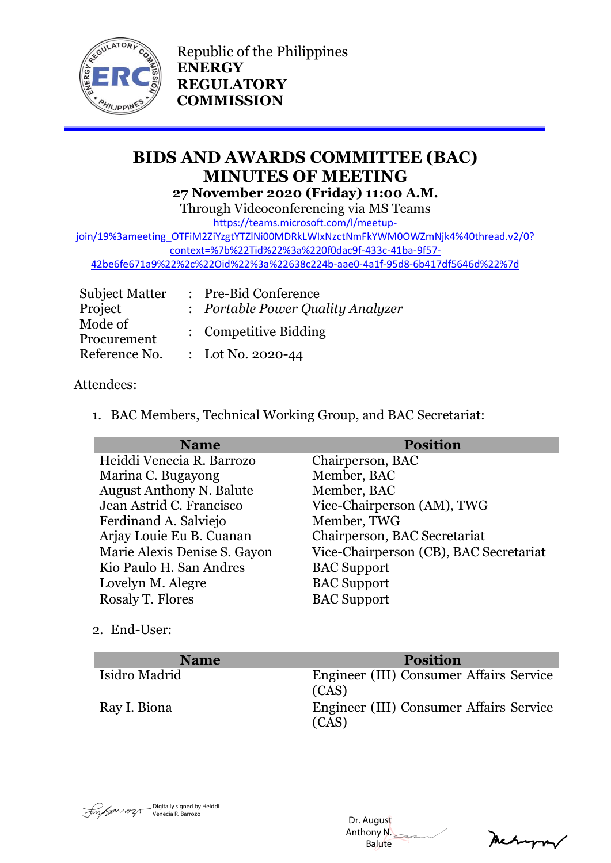

Republic of the Philippines **ENERGY REGULATORY COMMISSION**

# **BIDS AND AWARDS COMMITTEE (BAC) MINUTES OF MEETING 27 November 2020 (Friday) 11:00 A.M.**

Through Videoconferencing via MS Teams

[https://teams.microsoft.com/l/meetup-](https://teams.microsoft.com/l/meetup-join/19%3ameeting_OTFiM2ZiYzgtYTZlNi00MDRkLWIxNzctNmFkYWM0OWZmNjk4%40thread.v2/0?context=%7b%22Tid%22%3a%220f0dac9f-433c-41ba-9f57-42be6fe671a9%22%2c%22Oid%22%3a%22638c224b-aae0-4a1f-95d8-6b417df5646d%22%7d)

[join/19%3ameeting\\_OTFiM2ZiYzgtYTZlNi00MDRkLWIxNzctNmFkYWM0OWZmNjk4%40thread.v2/0?](https://teams.microsoft.com/l/meetup-join/19%3ameeting_OTFiM2ZiYzgtYTZlNi00MDRkLWIxNzctNmFkYWM0OWZmNjk4%40thread.v2/0?context=%7b%22Tid%22%3a%220f0dac9f-433c-41ba-9f57-42be6fe671a9%22%2c%22Oid%22%3a%22638c224b-aae0-4a1f-95d8-6b417df5646d%22%7d) [context=%7b%22Tid%22%3a%220f0dac9f-433c-41ba-9f57-](https://teams.microsoft.com/l/meetup-join/19%3ameeting_OTFiM2ZiYzgtYTZlNi00MDRkLWIxNzctNmFkYWM0OWZmNjk4%40thread.v2/0?context=%7b%22Tid%22%3a%220f0dac9f-433c-41ba-9f57-42be6fe671a9%22%2c%22Oid%22%3a%22638c224b-aae0-4a1f-95d8-6b417df5646d%22%7d)

[42be6fe671a9%22%2c%22Oid%22%3a%22638c224b-aae0-4a1f-95d8-6b417df5646d%22%7d](https://teams.microsoft.com/l/meetup-join/19%3ameeting_OTFiM2ZiYzgtYTZlNi00MDRkLWIxNzctNmFkYWM0OWZmNjk4%40thread.v2/0?context=%7b%22Tid%22%3a%220f0dac9f-433c-41ba-9f57-42be6fe671a9%22%2c%22Oid%22%3a%22638c224b-aae0-4a1f-95d8-6b417df5646d%22%7d)

| <b>Subject Matter</b>  | : Pre-Bid Conference              |
|------------------------|-----------------------------------|
| Project                | : Portable Power Quality Analyzer |
| Mode of<br>Procurement | : Competitive Bidding             |
| Reference No.          | : Lot No. 2020-44                 |

## Attendees:

1. BAC Members, Technical Working Group, and BAC Secretariat:

| <b>Name</b>                     | <b>Position</b>                        |
|---------------------------------|----------------------------------------|
| Heiddi Venecia R. Barrozo       | Chairperson, BAC                       |
| Marina C. Bugayong              | Member, BAC                            |
| <b>August Anthony N. Balute</b> | Member, BAC                            |
| Jean Astrid C. Francisco        | Vice-Chairperson (AM), TWG             |
| Ferdinand A. Salviejo           | Member, TWG                            |
| Arjay Louie Eu B. Cuanan        | Chairperson, BAC Secretariat           |
| Marie Alexis Denise S. Gayon    | Vice-Chairperson (CB), BAC Secretariat |
| Kio Paulo H. San Andres         | <b>BAC</b> Support                     |
| Lovelyn M. Alegre               | <b>BAC</b> Support                     |
| Rosaly T. Flores                | <b>BAC</b> Support                     |

2. End-User:

| <b>Name</b>   | <b>Position</b>                                  |
|---------------|--------------------------------------------------|
| Isidro Madrid | Engineer (III) Consumer Affairs Service<br>(CAS) |
| Ray I. Biona  | Engineer (III) Consumer Affairs Service<br>(CAS) |



 Dr. August Anthony N. Balute

Meturn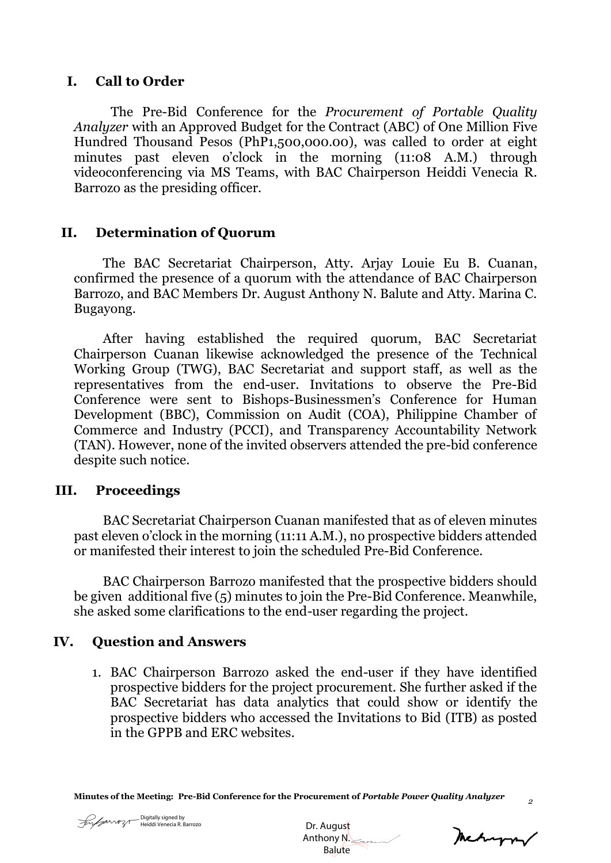#### **I. Call to Order**

The Pre-Bid Conference for the *Procurement of Portable Quality Analyzer* with an Approved Budget for the Contract (ABC) of One Million Five Hundred Thousand Pesos (PhP1,500,000.00), was called to order at eight minutes past eleven o'clock in the morning (11:08 A.M.) through videoconferencing via MS Teams, with BAC Chairperson Heiddi Venecia R. Barrozo as the presiding officer.

## **II. Determination of Quorum**

The BAC Secretariat Chairperson, Atty. Arjay Louie Eu B. Cuanan, confirmed the presence of a quorum with the attendance of BAC Chairperson Barrozo, and BAC Members Dr. August Anthony N. Balute and Atty. Marina C. Bugayong.

After having established the required quorum, BAC Secretariat Chairperson Cuanan likewise acknowledged the presence of the Technical Working Group (TWG), BAC Secretariat and support staff, as well as the representatives from the end-user. Invitations to observe the Pre-Bid Conference were sent to Bishops-Businessmen's Conference for Human Development (BBC), Commission on Audit (COA), Philippine Chamber of Commerce and Industry (PCCI), and Transparency Accountability Network (TAN). However, none of the invited observers attended the pre-bid conference despite such notice.

#### **III. Proceedings**

BAC Secretariat Chairperson Cuanan manifested that as of eleven minutes past eleven o'clock in the morning (11:11 A.M.), no prospective bidders attended or manifested their interest to join the scheduled Pre-Bid Conference.

BAC Chairperson Barrozo manifested that the prospective bidders should be given additional five (5) minutes to join the Pre-Bid Conference. Meanwhile, she asked some clarifications to the end-user regarding the project.

## **IV. Question and Answers**

1. BAC Chairperson Barrozo asked the end-user if they have identified prospective bidders for the project procurement. She further asked if the BAC Secretariat has data analytics that could show or identify the prospective bidders who accessed the Invitations to Bid (ITB) as posted in the GPPB and ERC websites.

**Minutes of the Meeting: Pre-Bid Conference for the Procurement of** *Portable Power Quality Analyzer*



 Dr. August Anthony N. **Balute** 

meturny

*2*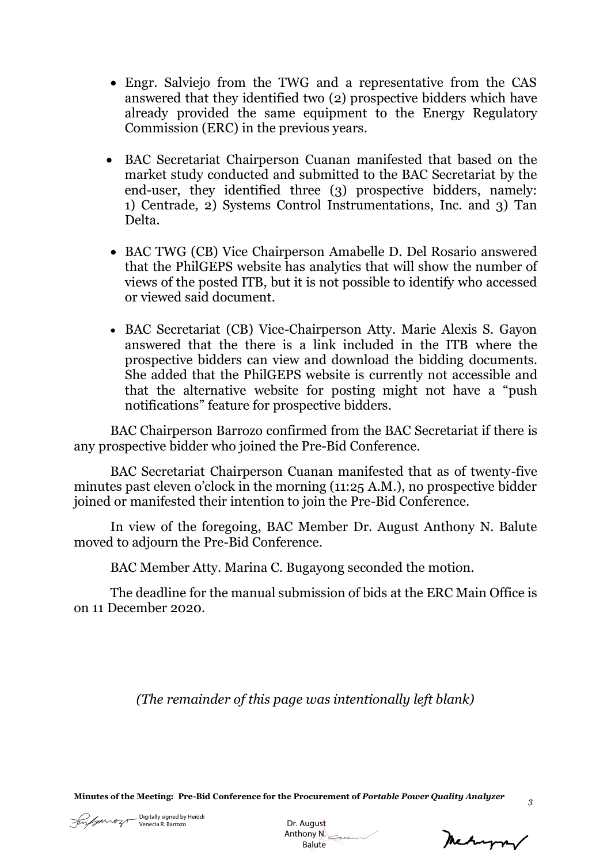- Engr. Salviejo from the TWG and a representative from the CAS answered that they identified two (2) prospective bidders which have already provided the same equipment to the Energy Regulatory Commission (ERC) in the previous years.
- BAC Secretariat Chairperson Cuanan manifested that based on the market study conducted and submitted to the BAC Secretariat by the end-user, they identified three (3) prospective bidders, namely: 1) Centrade, 2) Systems Control Instrumentations, Inc. and 3) Tan Delta.
- BAC TWG (CB) Vice Chairperson Amabelle D. Del Rosario answered that the PhilGEPS website has analytics that will show the number of views of the posted ITB, but it is not possible to identify who accessed or viewed said document.
- BAC Secretariat (CB) Vice-Chairperson Atty. Marie Alexis S. Gayon answered that the there is a link included in the ITB where the prospective bidders can view and download the bidding documents. She added that the PhilGEPS website is currently not accessible and that the alternative website for posting might not have a "push notifications" feature for prospective bidders.

BAC Chairperson Barrozo confirmed from the BAC Secretariat if there is any prospective bidder who joined the Pre-Bid Conference.

BAC Secretariat Chairperson Cuanan manifested that as of twenty-five minutes past eleven o'clock in the morning (11:25 A.M.), no prospective bidder joined or manifested their intention to join the Pre-Bid Conference.

In view of the foregoing, BAC Member Dr. August Anthony N. Balute moved to adjourn the Pre-Bid Conference.

BAC Member Atty. Marina C. Bugayong seconded the motion.

The deadline for the manual submission of bids at the ERC Main Office is on 11 December 2020.

*(The remainder of this page was intentionally left blank)*

**Minutes of the Meeting: Pre-Bid Conference for the Procurement of** *Portable Power Quality Analyzer*

Mechanger

*3*